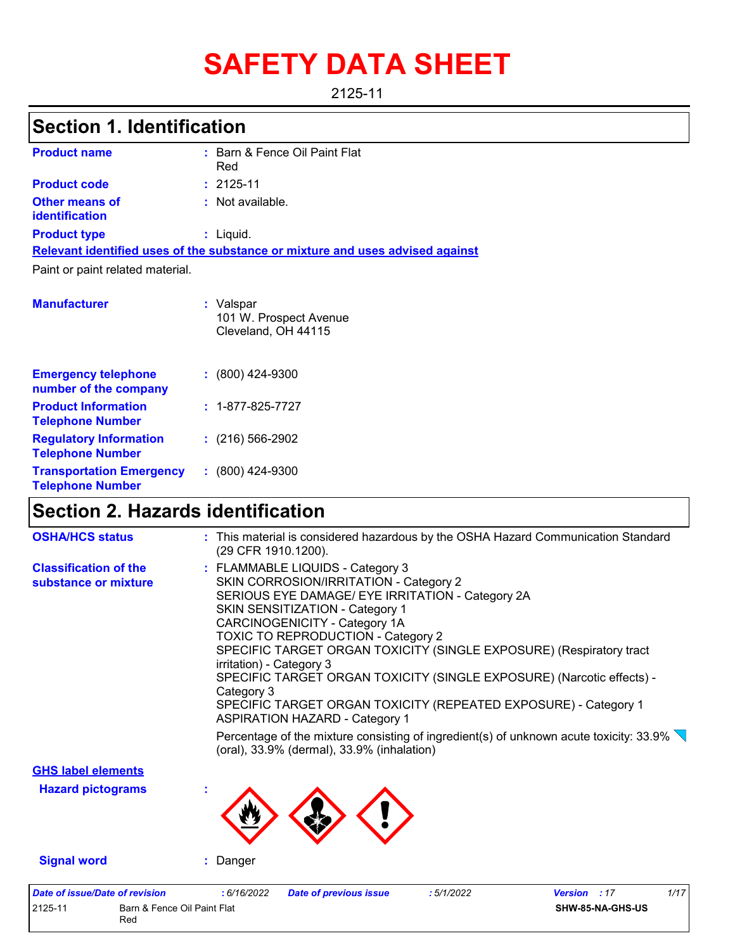# **SAFETY DATA SHEET**

2125-11

## **Section 1. Identification**

| <b>Product name</b>                            | : Barn & Fence Oil Paint Flat<br>Red                                          |
|------------------------------------------------|-------------------------------------------------------------------------------|
| <b>Product code</b>                            | $: 2125 - 11$                                                                 |
| <b>Other means of</b><br><i>identification</i> | : Not available.                                                              |
| <b>Product type</b>                            | : Liquid.                                                                     |
|                                                | Relevant identified uses of the substance or mixture and uses advised against |
| Paint or paint related material.               |                                                                               |
| <b>Manufacturer</b>                            | : Valspar<br>101 W. Prospect Avenue                                           |

Cleveland, OH 44115

| <b>Emergency telephone</b><br>number of the company        | $: (800)$ 424-9300       |
|------------------------------------------------------------|--------------------------|
| <b>Product Information</b><br><b>Telephone Number</b>      | $: 1 - 877 - 825 - 7727$ |
| <b>Regulatory Information</b><br><b>Telephone Number</b>   | $: (216) 566 - 2902$     |
| <b>Transportation Emergency</b><br><b>Telephone Number</b> | $: (800)$ 424-9300       |

### **Section 2. Hazards identification**

2125-11 Barn & Fence Oil Paint Flat Red

| <b>Date of issue/Date of revision</b> | 1/17<br>: 6/16/2022<br><b>Date of previous issue</b><br><b>Version</b> : 17<br>:5/1/2022                                                                                                                                                                                                                                                                                         |  |  |  |  |  |  |                      |                                                                                            |
|---------------------------------------|----------------------------------------------------------------------------------------------------------------------------------------------------------------------------------------------------------------------------------------------------------------------------------------------------------------------------------------------------------------------------------|--|--|--|--|--|--|----------------------|--------------------------------------------------------------------------------------------|
| <b>Signal word</b>                    | : Danger                                                                                                                                                                                                                                                                                                                                                                         |  |  |  |  |  |  |                      |                                                                                            |
| <b>Hazard pictograms</b>              |                                                                                                                                                                                                                                                                                                                                                                                  |  |  |  |  |  |  |                      |                                                                                            |
| <b>GHS label elements</b>             |                                                                                                                                                                                                                                                                                                                                                                                  |  |  |  |  |  |  |                      |                                                                                            |
|                                       | Percentage of the mixture consisting of ingredient(s) of unknown acute toxicity: $33.9\%$<br>(oral), 33.9% (dermal), 33.9% (inhalation)                                                                                                                                                                                                                                          |  |  |  |  |  |  |                      |                                                                                            |
|                                       | CARCINOGENICITY - Category 1A<br><b>TOXIC TO REPRODUCTION - Category 2</b><br>SPECIFIC TARGET ORGAN TOXICITY (SINGLE EXPOSURE) (Respiratory tract<br>irritation) - Category 3<br>SPECIFIC TARGET ORGAN TOXICITY (SINGLE EXPOSURE) (Narcotic effects) -<br>Category 3<br>SPECIFIC TARGET ORGAN TOXICITY (REPEATED EXPOSURE) - Category 1<br><b>ASPIRATION HAZARD - Category 1</b> |  |  |  |  |  |  |                      |                                                                                            |
|                                       |                                                                                                                                                                                                                                                                                                                                                                                  |  |  |  |  |  |  |                      |                                                                                            |
|                                       |                                                                                                                                                                                                                                                                                                                                                                                  |  |  |  |  |  |  |                      | SKIN SENSITIZATION - Category 1                                                            |
|                                       |                                                                                                                                                                                                                                                                                                                                                                                  |  |  |  |  |  |  | substance or mixture | SKIN CORROSION/IRRITATION - Category 2<br>SERIOUS EYE DAMAGE/ EYE IRRITATION - Category 2A |
| <b>Classification of the</b>          | : FLAMMABLE LIQUIDS - Category 3                                                                                                                                                                                                                                                                                                                                                 |  |  |  |  |  |  |                      |                                                                                            |
| <b>OSHA/HCS status</b>                | : This material is considered hazardous by the OSHA Hazard Communication Standard<br>(29 CFR 1910.1200).                                                                                                                                                                                                                                                                         |  |  |  |  |  |  |                      |                                                                                            |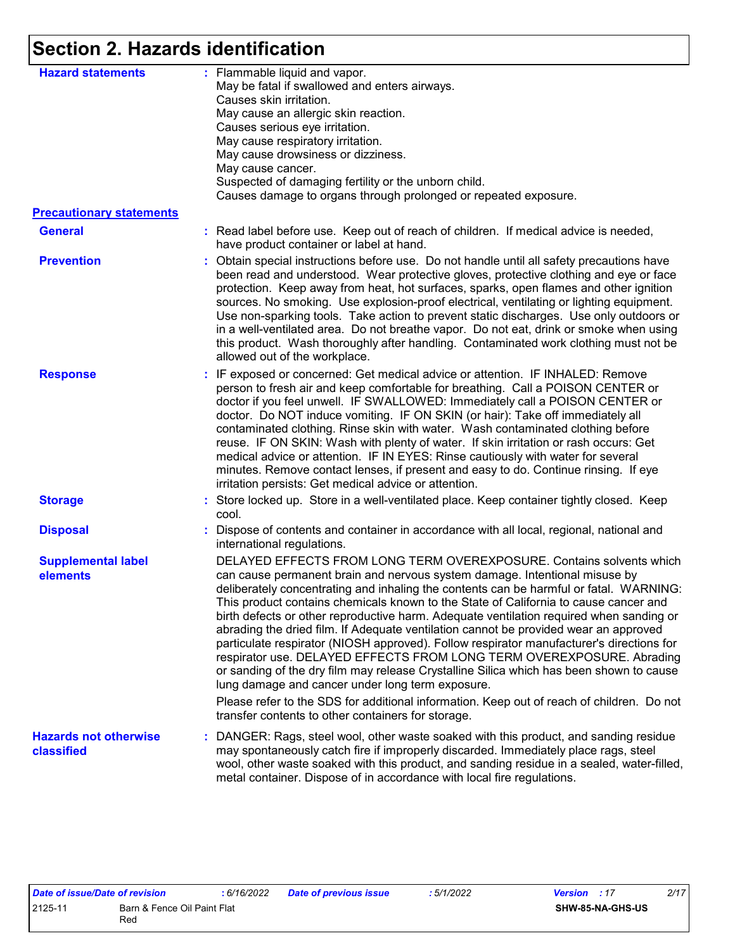# **Section 2. Hazards identification**

| <b>Hazard statements</b>                          | : Flammable liquid and vapor.<br>May be fatal if swallowed and enters airways.<br>Causes skin irritation.<br>May cause an allergic skin reaction.<br>Causes serious eye irritation.<br>May cause respiratory irritation.<br>May cause drowsiness or dizziness.<br>May cause cancer.<br>Suspected of damaging fertility or the unborn child.<br>Causes damage to organs through prolonged or repeated exposure.                                                                                                                                                                                                                                                                                                                                                                                                                                                                                                                           |
|---------------------------------------------------|------------------------------------------------------------------------------------------------------------------------------------------------------------------------------------------------------------------------------------------------------------------------------------------------------------------------------------------------------------------------------------------------------------------------------------------------------------------------------------------------------------------------------------------------------------------------------------------------------------------------------------------------------------------------------------------------------------------------------------------------------------------------------------------------------------------------------------------------------------------------------------------------------------------------------------------|
| <b>Precautionary statements</b>                   |                                                                                                                                                                                                                                                                                                                                                                                                                                                                                                                                                                                                                                                                                                                                                                                                                                                                                                                                          |
| <b>General</b>                                    | : Read label before use. Keep out of reach of children. If medical advice is needed,<br>have product container or label at hand.                                                                                                                                                                                                                                                                                                                                                                                                                                                                                                                                                                                                                                                                                                                                                                                                         |
| <b>Prevention</b>                                 | : Obtain special instructions before use. Do not handle until all safety precautions have<br>been read and understood. Wear protective gloves, protective clothing and eye or face<br>protection. Keep away from heat, hot surfaces, sparks, open flames and other ignition<br>sources. No smoking. Use explosion-proof electrical, ventilating or lighting equipment.<br>Use non-sparking tools. Take action to prevent static discharges. Use only outdoors or<br>in a well-ventilated area. Do not breathe vapor. Do not eat, drink or smoke when using<br>this product. Wash thoroughly after handling. Contaminated work clothing must not be<br>allowed out of the workplace.                                                                                                                                                                                                                                                      |
| <b>Response</b>                                   | : IF exposed or concerned: Get medical advice or attention. IF INHALED: Remove<br>person to fresh air and keep comfortable for breathing. Call a POISON CENTER or<br>doctor if you feel unwell. IF SWALLOWED: Immediately call a POISON CENTER or<br>doctor. Do NOT induce vomiting. IF ON SKIN (or hair): Take off immediately all<br>contaminated clothing. Rinse skin with water. Wash contaminated clothing before<br>reuse. IF ON SKIN: Wash with plenty of water. If skin irritation or rash occurs: Get<br>medical advice or attention. IF IN EYES: Rinse cautiously with water for several<br>minutes. Remove contact lenses, if present and easy to do. Continue rinsing. If eye<br>irritation persists: Get medical advice or attention.                                                                                                                                                                                       |
| <b>Storage</b>                                    | : Store locked up. Store in a well-ventilated place. Keep container tightly closed. Keep<br>cool.                                                                                                                                                                                                                                                                                                                                                                                                                                                                                                                                                                                                                                                                                                                                                                                                                                        |
| <b>Disposal</b>                                   | : Dispose of contents and container in accordance with all local, regional, national and<br>international regulations.                                                                                                                                                                                                                                                                                                                                                                                                                                                                                                                                                                                                                                                                                                                                                                                                                   |
| <b>Supplemental label</b><br>elements             | DELAYED EFFECTS FROM LONG TERM OVEREXPOSURE. Contains solvents which<br>can cause permanent brain and nervous system damage. Intentional misuse by<br>deliberately concentrating and inhaling the contents can be harmful or fatal. WARNING:<br>This product contains chemicals known to the State of California to cause cancer and<br>birth defects or other reproductive harm. Adequate ventilation required when sanding or<br>abrading the dried film. If Adequate ventilation cannot be provided wear an approved<br>particulate respirator (NIOSH approved). Follow respirator manufacturer's directions for<br>respirator use. DELAYED EFFECTS FROM LONG TERM OVEREXPOSURE. Abrading<br>or sanding of the dry film may release Crystalline Silica which has been shown to cause<br>lung damage and cancer under long term exposure.<br>Please refer to the SDS for additional information. Keep out of reach of children. Do not |
|                                                   | transfer contents to other containers for storage.                                                                                                                                                                                                                                                                                                                                                                                                                                                                                                                                                                                                                                                                                                                                                                                                                                                                                       |
| <b>Hazards not otherwise</b><br><b>classified</b> | : DANGER: Rags, steel wool, other waste soaked with this product, and sanding residue<br>may spontaneously catch fire if improperly discarded. Immediately place rags, steel<br>wool, other waste soaked with this product, and sanding residue in a sealed, water-filled,<br>metal container. Dispose of in accordance with local fire regulations.                                                                                                                                                                                                                                                                                                                                                                                                                                                                                                                                                                                     |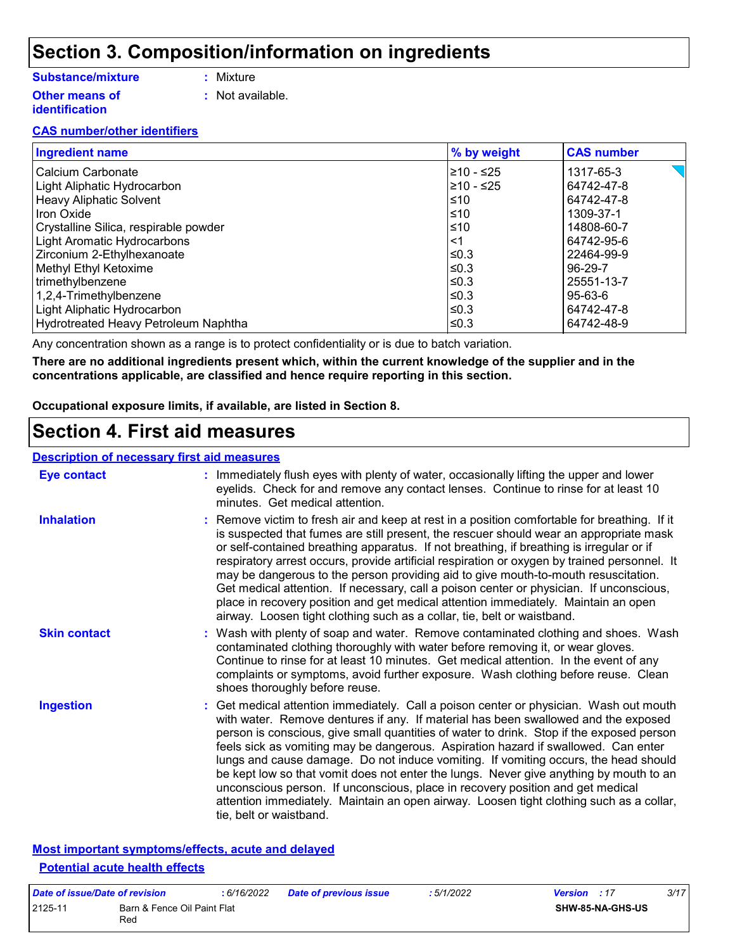# **Section 3. Composition/information on ingredients**

#### **Substance/mixture**

- **:** Mixture
- **Other means of identification**
- - **:** Not available.

#### **CAS number/other identifiers**

| <b>Ingredient name</b>                | % by weight | <b>CAS number</b>                  |
|---------------------------------------|-------------|------------------------------------|
| Calcium Carbonate                     | 210 - ≤25   | $\leq$ $\blacksquare$<br>1317-65-3 |
| Light Aliphatic Hydrocarbon           | 210 - ≤25   | 64742-47-8                         |
| <b>Heavy Aliphatic Solvent</b>        | ≤10         | 64742-47-8                         |
| <b>Iron Oxide</b>                     | l≤10        | 1309-37-1                          |
| Crystalline Silica, respirable powder | ≤10         | 14808-60-7                         |
| <b>Light Aromatic Hydrocarbons</b>    | <1          | 64742-95-6                         |
| Zirconium 2-Ethylhexanoate            | l≤0.3       | 22464-99-9                         |
| Methyl Ethyl Ketoxime                 | l≤0.3       | 96-29-7                            |
| trimethylbenzene                      | $\leq$ 0.3  | 25551-13-7                         |
| 1,2,4-Trimethylbenzene                | l≤0.3       | 95-63-6                            |
| Light Aliphatic Hydrocarbon           | ≤0.3        | 64742-47-8                         |
| Hydrotreated Heavy Petroleum Naphtha  | ≤0.3        | 64742-48-9                         |

Any concentration shown as a range is to protect confidentiality or is due to batch variation.

**There are no additional ingredients present which, within the current knowledge of the supplier and in the concentrations applicable, are classified and hence require reporting in this section.**

**Occupational exposure limits, if available, are listed in Section 8.**

### **Section 4. First aid measures**

#### **Description of necessary first aid measures**

| <b>Eye contact</b>  | : Immediately flush eyes with plenty of water, occasionally lifting the upper and lower<br>eyelids. Check for and remove any contact lenses. Continue to rinse for at least 10<br>minutes. Get medical attention.                                                                                                                                                                                                                                                                                                                                                                                                                                                                                                                                       |
|---------------------|---------------------------------------------------------------------------------------------------------------------------------------------------------------------------------------------------------------------------------------------------------------------------------------------------------------------------------------------------------------------------------------------------------------------------------------------------------------------------------------------------------------------------------------------------------------------------------------------------------------------------------------------------------------------------------------------------------------------------------------------------------|
| <b>Inhalation</b>   | : Remove victim to fresh air and keep at rest in a position comfortable for breathing. If it<br>is suspected that fumes are still present, the rescuer should wear an appropriate mask<br>or self-contained breathing apparatus. If not breathing, if breathing is irregular or if<br>respiratory arrest occurs, provide artificial respiration or oxygen by trained personnel. It<br>may be dangerous to the person providing aid to give mouth-to-mouth resuscitation.<br>Get medical attention. If necessary, call a poison center or physician. If unconscious,<br>place in recovery position and get medical attention immediately. Maintain an open<br>airway. Loosen tight clothing such as a collar, tie, belt or waistband.                    |
| <b>Skin contact</b> | : Wash with plenty of soap and water. Remove contaminated clothing and shoes. Wash<br>contaminated clothing thoroughly with water before removing it, or wear gloves.<br>Continue to rinse for at least 10 minutes. Get medical attention. In the event of any<br>complaints or symptoms, avoid further exposure. Wash clothing before reuse. Clean<br>shoes thoroughly before reuse.                                                                                                                                                                                                                                                                                                                                                                   |
| <b>Ingestion</b>    | : Get medical attention immediately. Call a poison center or physician. Wash out mouth<br>with water. Remove dentures if any. If material has been swallowed and the exposed<br>person is conscious, give small quantities of water to drink. Stop if the exposed person<br>feels sick as vomiting may be dangerous. Aspiration hazard if swallowed. Can enter<br>lungs and cause damage. Do not induce vomiting. If vomiting occurs, the head should<br>be kept low so that vomit does not enter the lungs. Never give anything by mouth to an<br>unconscious person. If unconscious, place in recovery position and get medical<br>attention immediately. Maintain an open airway. Loosen tight clothing such as a collar,<br>tie, belt or waistband. |

#### **Most important symptoms/effects, acute and delayed Potential acute health effects**

| Date of issue/Date of revision |                                    | : 6/16/2022 | <b>Date of previous issue</b> | : 5/1/2022 | <b>Version</b> : 17 |                         | 3/17 |
|--------------------------------|------------------------------------|-------------|-------------------------------|------------|---------------------|-------------------------|------|
| 2125-11                        | Barn & Fence Oil Paint Flat<br>Red |             |                               |            |                     | <b>SHW-85-NA-GHS-US</b> |      |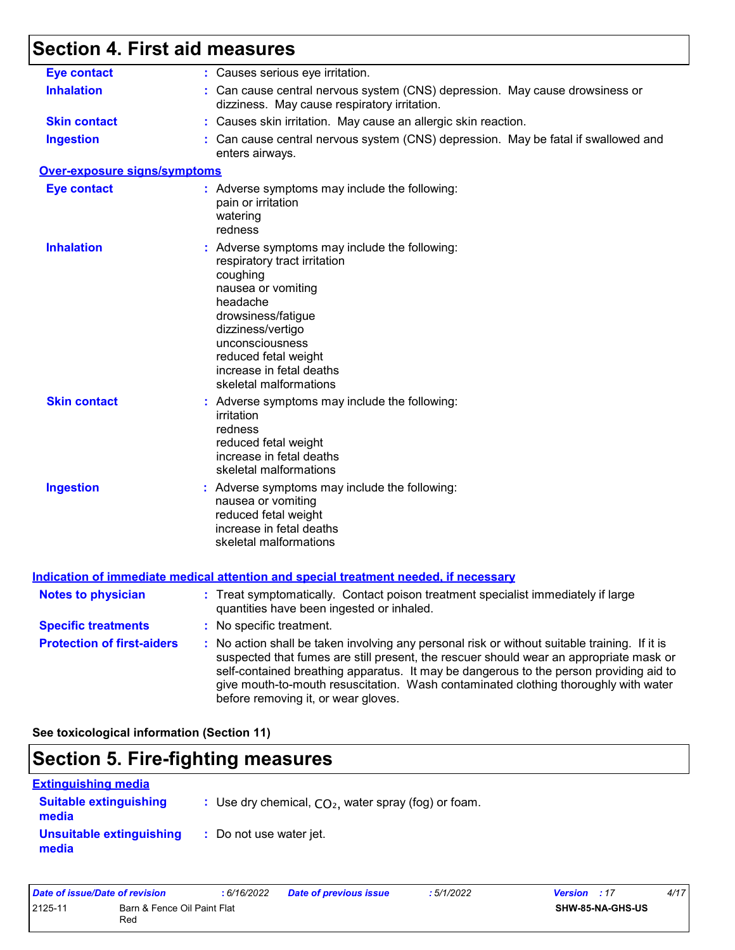# **Section 4. First aid measures**

| <b>Eye contact</b>                | : Causes serious eye irritation.                                                                                                                                                                                                                                                                                                                                                                                |
|-----------------------------------|-----------------------------------------------------------------------------------------------------------------------------------------------------------------------------------------------------------------------------------------------------------------------------------------------------------------------------------------------------------------------------------------------------------------|
| <b>Inhalation</b>                 | : Can cause central nervous system (CNS) depression. May cause drowsiness or<br>dizziness. May cause respiratory irritation.                                                                                                                                                                                                                                                                                    |
| <b>Skin contact</b>               | : Causes skin irritation. May cause an allergic skin reaction.                                                                                                                                                                                                                                                                                                                                                  |
| <b>Ingestion</b>                  | : Can cause central nervous system (CNS) depression. May be fatal if swallowed and<br>enters airways.                                                                                                                                                                                                                                                                                                           |
| Over-exposure signs/symptoms      |                                                                                                                                                                                                                                                                                                                                                                                                                 |
| <b>Eye contact</b>                | : Adverse symptoms may include the following:<br>pain or irritation<br>watering<br>redness                                                                                                                                                                                                                                                                                                                      |
| <b>Inhalation</b>                 | : Adverse symptoms may include the following:<br>respiratory tract irritation<br>coughing<br>nausea or vomiting<br>headache<br>drowsiness/fatigue<br>dizziness/vertigo<br>unconsciousness<br>reduced fetal weight<br>increase in fetal deaths<br>skeletal malformations                                                                                                                                         |
| <b>Skin contact</b>               | : Adverse symptoms may include the following:<br>irritation<br>redness<br>reduced fetal weight<br>increase in fetal deaths<br>skeletal malformations                                                                                                                                                                                                                                                            |
| <b>Ingestion</b>                  | : Adverse symptoms may include the following:<br>nausea or vomiting<br>reduced fetal weight<br>increase in fetal deaths<br>skeletal malformations                                                                                                                                                                                                                                                               |
|                                   | <u>Indication of immediate medical attention and special treatment needed, if necessary</u>                                                                                                                                                                                                                                                                                                                     |
| <b>Notes to physician</b>         | : Treat symptomatically. Contact poison treatment specialist immediately if large<br>quantities have been ingested or inhaled.                                                                                                                                                                                                                                                                                  |
| <b>Specific treatments</b>        | : No specific treatment.                                                                                                                                                                                                                                                                                                                                                                                        |
| <b>Protection of first-aiders</b> | : No action shall be taken involving any personal risk or without suitable training. If it is<br>suspected that fumes are still present, the rescuer should wear an appropriate mask or<br>self-contained breathing apparatus. It may be dangerous to the person providing aid to<br>give mouth-to-mouth resuscitation. Wash contaminated clothing thoroughly with water<br>before removing it, or wear gloves. |

**See toxicological information (Section 11)**

# **Section 5. Fire-fighting measures**

| <b>Extinguishing media</b>             |                                                        |
|----------------------------------------|--------------------------------------------------------|
| <b>Suitable extinguishing</b><br>media | : Use dry chemical, $CO2$ , water spray (fog) or foam. |
| Unsuitable extinguishing<br>media      | : Do not use water jet.                                |

| Date of issue/Date of revision |                                    | : 6/16/2022 | <b>Date of previous issue</b> | 5/1/2022 | <b>Version</b> : 17 |                  | 4/17 |
|--------------------------------|------------------------------------|-------------|-------------------------------|----------|---------------------|------------------|------|
| 2125-11                        | Barn & Fence Oil Paint Flat<br>Red |             |                               |          |                     | SHW-85-NA-GHS-US |      |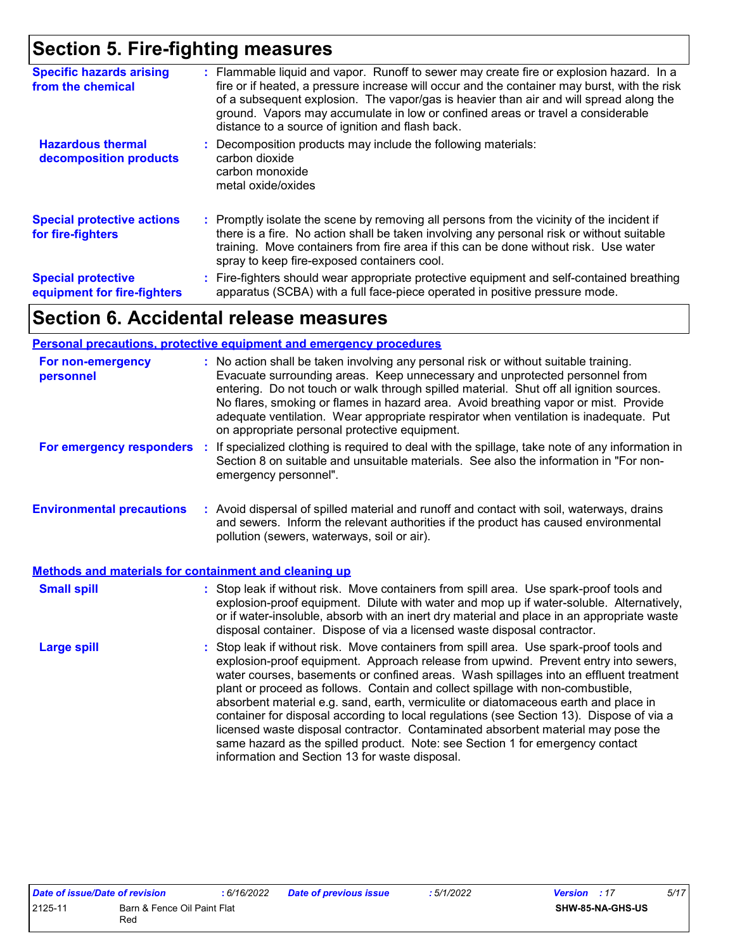# **Section 5. Fire-fighting measures**

| <b>Specific hazards arising</b><br>from the chemical     | : Flammable liquid and vapor. Runoff to sewer may create fire or explosion hazard. In a<br>fire or if heated, a pressure increase will occur and the container may burst, with the risk<br>of a subsequent explosion. The vapor/gas is heavier than air and will spread along the<br>ground. Vapors may accumulate in low or confined areas or travel a considerable<br>distance to a source of ignition and flash back. |
|----------------------------------------------------------|--------------------------------------------------------------------------------------------------------------------------------------------------------------------------------------------------------------------------------------------------------------------------------------------------------------------------------------------------------------------------------------------------------------------------|
| <b>Hazardous thermal</b><br>decomposition products       | Decomposition products may include the following materials:<br>carbon dioxide<br>carbon monoxide<br>metal oxide/oxides                                                                                                                                                                                                                                                                                                   |
| <b>Special protective actions</b><br>for fire-fighters   | : Promptly isolate the scene by removing all persons from the vicinity of the incident if<br>there is a fire. No action shall be taken involving any personal risk or without suitable<br>training. Move containers from fire area if this can be done without risk. Use water<br>spray to keep fire-exposed containers cool.                                                                                            |
| <b>Special protective</b><br>equipment for fire-fighters | : Fire-fighters should wear appropriate protective equipment and self-contained breathing<br>apparatus (SCBA) with a full face-piece operated in positive pressure mode.                                                                                                                                                                                                                                                 |

# **Section 6. Accidental release measures**

#### **Personal precautions, protective equipment and emergency procedures**

| For non-emergency<br>personnel                               | : No action shall be taken involving any personal risk or without suitable training.<br>Evacuate surrounding areas. Keep unnecessary and unprotected personnel from<br>entering. Do not touch or walk through spilled material. Shut off all ignition sources.<br>No flares, smoking or flames in hazard area. Avoid breathing vapor or mist. Provide<br>adequate ventilation. Wear appropriate respirator when ventilation is inadequate. Put<br>on appropriate personal protective equipment.                                                                                                                                                                                                                                                                      |
|--------------------------------------------------------------|----------------------------------------------------------------------------------------------------------------------------------------------------------------------------------------------------------------------------------------------------------------------------------------------------------------------------------------------------------------------------------------------------------------------------------------------------------------------------------------------------------------------------------------------------------------------------------------------------------------------------------------------------------------------------------------------------------------------------------------------------------------------|
| For emergency responders                                     | If specialized clothing is required to deal with the spillage, take note of any information in<br>÷.<br>Section 8 on suitable and unsuitable materials. See also the information in "For non-<br>emergency personnel".                                                                                                                                                                                                                                                                                                                                                                                                                                                                                                                                               |
| <b>Environmental precautions</b>                             | : Avoid dispersal of spilled material and runoff and contact with soil, waterways, drains<br>and sewers. Inform the relevant authorities if the product has caused environmental<br>pollution (sewers, waterways, soil or air).                                                                                                                                                                                                                                                                                                                                                                                                                                                                                                                                      |
| <b>Methods and materials for containment and cleaning up</b> |                                                                                                                                                                                                                                                                                                                                                                                                                                                                                                                                                                                                                                                                                                                                                                      |
| <b>Small spill</b>                                           | : Stop leak if without risk. Move containers from spill area. Use spark-proof tools and<br>explosion-proof equipment. Dilute with water and mop up if water-soluble. Alternatively,<br>or if water-insoluble, absorb with an inert dry material and place in an appropriate waste<br>disposal container. Dispose of via a licensed waste disposal contractor.                                                                                                                                                                                                                                                                                                                                                                                                        |
| <b>Large spill</b>                                           | : Stop leak if without risk. Move containers from spill area. Use spark-proof tools and<br>explosion-proof equipment. Approach release from upwind. Prevent entry into sewers,<br>water courses, basements or confined areas. Wash spillages into an effluent treatment<br>plant or proceed as follows. Contain and collect spillage with non-combustible,<br>absorbent material e.g. sand, earth, vermiculite or diatomaceous earth and place in<br>container for disposal according to local regulations (see Section 13). Dispose of via a<br>licensed waste disposal contractor. Contaminated absorbent material may pose the<br>same hazard as the spilled product. Note: see Section 1 for emergency contact<br>information and Section 13 for waste disposal. |

| Date of issue/Date of revision         |     | : 6/16/2022 | <b>Date of previous issue</b> | .5/1/2022 | <b>Version</b> : 17 |  | 5/17 |
|----------------------------------------|-----|-------------|-------------------------------|-----------|---------------------|--|------|
| 2125-11<br>Barn & Fence Oil Paint Flat |     |             |                               |           | SHW-85-NA-GHS-US    |  |      |
|                                        | Rec |             |                               |           |                     |  |      |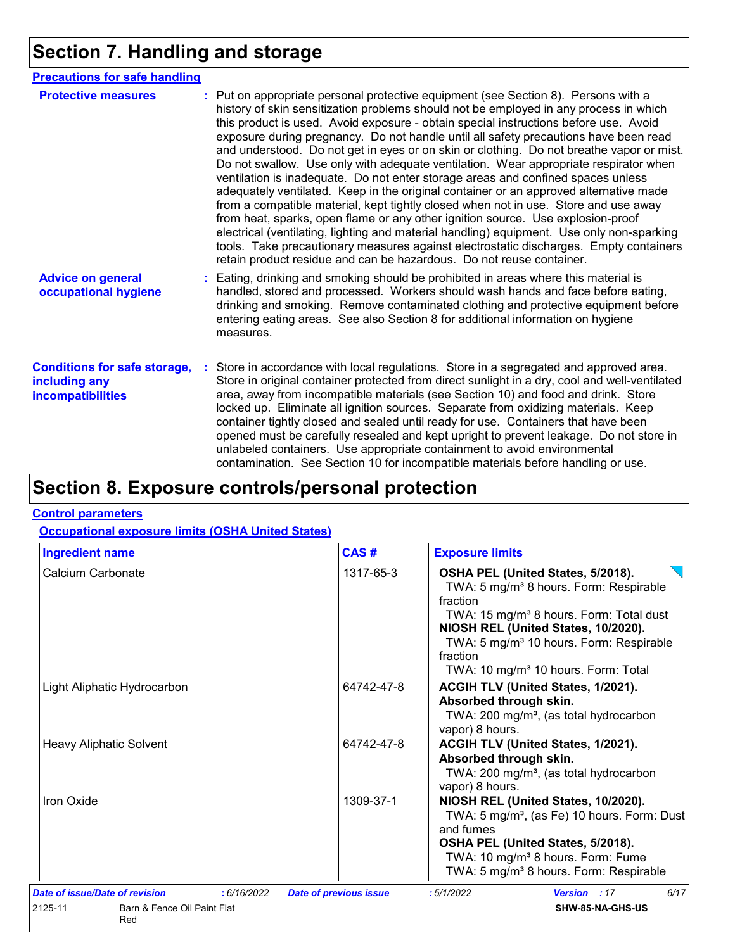# **Section 7. Handling and storage**

| <b>Precautions for safe handling</b>                                      |                                                                                                                                                                                                                                                                                                                                                                                                                                                                                                                                                                                                                                                                                                                                                                                                                                                                                                                                                                                                                                                                                                                                                                      |
|---------------------------------------------------------------------------|----------------------------------------------------------------------------------------------------------------------------------------------------------------------------------------------------------------------------------------------------------------------------------------------------------------------------------------------------------------------------------------------------------------------------------------------------------------------------------------------------------------------------------------------------------------------------------------------------------------------------------------------------------------------------------------------------------------------------------------------------------------------------------------------------------------------------------------------------------------------------------------------------------------------------------------------------------------------------------------------------------------------------------------------------------------------------------------------------------------------------------------------------------------------|
| <b>Protective measures</b>                                                | : Put on appropriate personal protective equipment (see Section 8). Persons with a<br>history of skin sensitization problems should not be employed in any process in which<br>this product is used. Avoid exposure - obtain special instructions before use. Avoid<br>exposure during pregnancy. Do not handle until all safety precautions have been read<br>and understood. Do not get in eyes or on skin or clothing. Do not breathe vapor or mist.<br>Do not swallow. Use only with adequate ventilation. Wear appropriate respirator when<br>ventilation is inadequate. Do not enter storage areas and confined spaces unless<br>adequately ventilated. Keep in the original container or an approved alternative made<br>from a compatible material, kept tightly closed when not in use. Store and use away<br>from heat, sparks, open flame or any other ignition source. Use explosion-proof<br>electrical (ventilating, lighting and material handling) equipment. Use only non-sparking<br>tools. Take precautionary measures against electrostatic discharges. Empty containers<br>retain product residue and can be hazardous. Do not reuse container. |
| <b>Advice on general</b><br>occupational hygiene                          | : Eating, drinking and smoking should be prohibited in areas where this material is<br>handled, stored and processed. Workers should wash hands and face before eating,<br>drinking and smoking. Remove contaminated clothing and protective equipment before<br>entering eating areas. See also Section 8 for additional information on hygiene<br>measures.                                                                                                                                                                                                                                                                                                                                                                                                                                                                                                                                                                                                                                                                                                                                                                                                        |
| <b>Conditions for safe storage,</b><br>including any<br>incompatibilities | : Store in accordance with local regulations. Store in a segregated and approved area.<br>Store in original container protected from direct sunlight in a dry, cool and well-ventilated<br>area, away from incompatible materials (see Section 10) and food and drink. Store<br>locked up. Eliminate all ignition sources. Separate from oxidizing materials. Keep<br>container tightly closed and sealed until ready for use. Containers that have been<br>opened must be carefully resealed and kept upright to prevent leakage. Do not store in<br>unlabeled containers. Use appropriate containment to avoid environmental<br>contamination. See Section 10 for incompatible materials before handling or use.                                                                                                                                                                                                                                                                                                                                                                                                                                                   |

# **Section 8. Exposure controls/personal protection**

#### **Control parameters**

#### **Occupational exposure limits (OSHA United States)**

| <b>Ingredient name</b>                        | CAS#                          | <b>Exposure limits</b>                                                                                                                                                                                                                                                                                                  |  |
|-----------------------------------------------|-------------------------------|-------------------------------------------------------------------------------------------------------------------------------------------------------------------------------------------------------------------------------------------------------------------------------------------------------------------------|--|
| Calcium Carbonate                             | 1317-65-3                     | OSHA PEL (United States, 5/2018).<br>TWA: 5 mg/m <sup>3</sup> 8 hours. Form: Respirable<br>fraction<br>TWA: 15 mg/m <sup>3</sup> 8 hours. Form: Total dust<br>NIOSH REL (United States, 10/2020).<br>TWA: 5 mg/m <sup>3</sup> 10 hours. Form: Respirable<br>fraction<br>TWA: 10 mg/m <sup>3</sup> 10 hours. Form: Total |  |
| Light Aliphatic Hydrocarbon                   | 64742-47-8                    | ACGIH TLV (United States, 1/2021).<br>Absorbed through skin.<br>TWA: 200 mg/m <sup>3</sup> , (as total hydrocarbon<br>vapor) 8 hours.                                                                                                                                                                                   |  |
| <b>Heavy Aliphatic Solvent</b>                | 64742-47-8                    | ACGIH TLV (United States, 1/2021).<br>Absorbed through skin.<br>TWA: 200 mg/m <sup>3</sup> , (as total hydrocarbon<br>vapor) 8 hours.                                                                                                                                                                                   |  |
| Iron Oxide                                    | 1309-37-1                     | NIOSH REL (United States, 10/2020).<br>TWA: 5 mg/m <sup>3</sup> , (as Fe) 10 hours. Form: Dust<br>and fumes<br>OSHA PEL (United States, 5/2018).<br>TWA: 10 mg/m <sup>3</sup> 8 hours. Form: Fume<br>TWA: 5 mg/m <sup>3</sup> 8 hours. Form: Respirable                                                                 |  |
| Date of issue/Date of revision<br>: 6/16/2022 | <b>Date of previous issue</b> | 6/17<br>:5/1/2022<br>Version : 17                                                                                                                                                                                                                                                                                       |  |
| 2125-11<br>Barn & Fence Oil Paint Flat<br>Red |                               | SHW-85-NA-GHS-US                                                                                                                                                                                                                                                                                                        |  |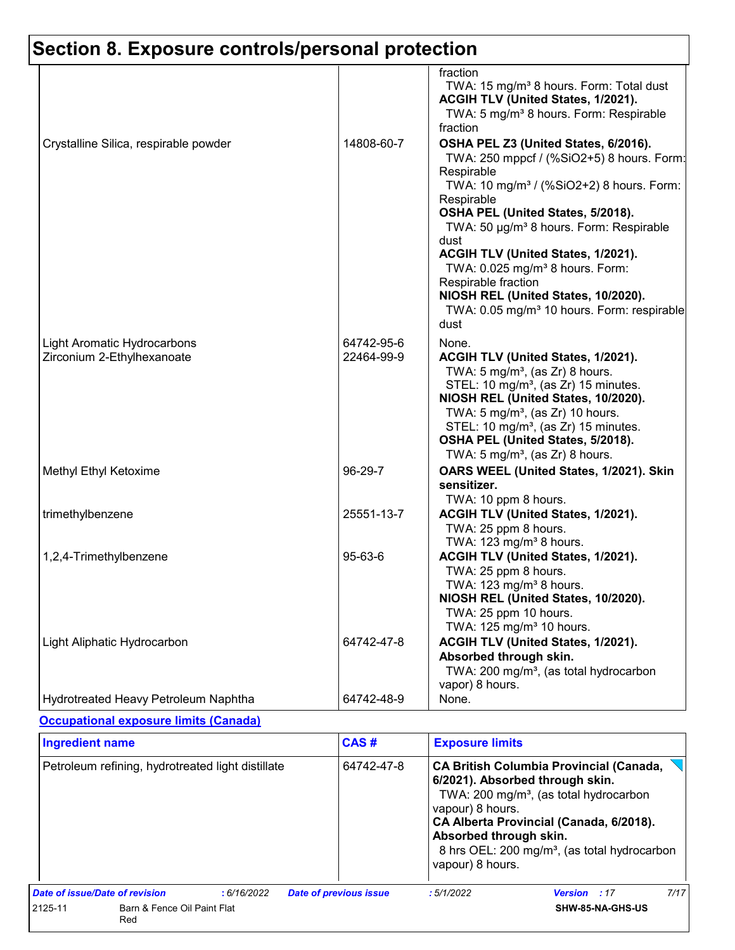|                                                           |                          | fraction<br>TWA: 15 mg/m <sup>3</sup> 8 hours. Form: Total dust<br>ACGIH TLV (United States, 1/2021).<br>TWA: 5 mg/m <sup>3</sup> 8 hours. Form: Respirable<br>fraction                                                                                                                                                                                                                                                                                                                        |
|-----------------------------------------------------------|--------------------------|------------------------------------------------------------------------------------------------------------------------------------------------------------------------------------------------------------------------------------------------------------------------------------------------------------------------------------------------------------------------------------------------------------------------------------------------------------------------------------------------|
| Crystalline Silica, respirable powder                     | 14808-60-7               | OSHA PEL Z3 (United States, 6/2016).<br>TWA: 250 mppcf / (%SiO2+5) 8 hours. Form:<br>Respirable<br>TWA: 10 mg/m <sup>3</sup> / (%SiO2+2) 8 hours. Form:<br>Respirable<br>OSHA PEL (United States, 5/2018).<br>TWA: 50 µg/m <sup>3</sup> 8 hours. Form: Respirable<br>dust<br>ACGIH TLV (United States, 1/2021).<br>TWA: 0.025 mg/m <sup>3</sup> 8 hours. Form:<br>Respirable fraction<br>NIOSH REL (United States, 10/2020).<br>TWA: 0.05 mg/m <sup>3</sup> 10 hours. Form: respirable<br>dust |
| Light Aromatic Hydrocarbons<br>Zirconium 2-Ethylhexanoate | 64742-95-6<br>22464-99-9 | None.<br>ACGIH TLV (United States, 1/2021).<br>TWA: $5 \text{ mg/m}^3$ , (as Zr) 8 hours.<br>STEL: 10 mg/m <sup>3</sup> , (as Zr) 15 minutes.<br>NIOSH REL (United States, 10/2020).<br>TWA: 5 mg/m <sup>3</sup> , (as Zr) 10 hours.<br>STEL: 10 mg/m <sup>3</sup> , (as Zr) 15 minutes.<br>OSHA PEL (United States, 5/2018).<br>TWA: 5 mg/m <sup>3</sup> , (as Zr) 8 hours.                                                                                                                   |
| Methyl Ethyl Ketoxime                                     | 96-29-7                  | OARS WEEL (United States, 1/2021). Skin<br>sensitizer.<br>TWA: 10 ppm 8 hours.                                                                                                                                                                                                                                                                                                                                                                                                                 |
| trimethylbenzene                                          | 25551-13-7               | ACGIH TLV (United States, 1/2021).<br>TWA: 25 ppm 8 hours.<br>TWA: 123 mg/m <sup>3</sup> 8 hours.                                                                                                                                                                                                                                                                                                                                                                                              |
| 1,2,4-Trimethylbenzene                                    | 95-63-6                  | ACGIH TLV (United States, 1/2021).<br>TWA: 25 ppm 8 hours.<br>TWA: 123 mg/m <sup>3</sup> 8 hours.<br>NIOSH REL (United States, 10/2020).<br>TWA: 25 ppm 10 hours.<br>TWA: 125 mg/m <sup>3</sup> 10 hours.                                                                                                                                                                                                                                                                                      |
| Light Aliphatic Hydrocarbon                               | 64742-47-8               | ACGIH TLV (United States, 1/2021).<br>Absorbed through skin.<br>TWA: 200 mg/m <sup>3</sup> , (as total hydrocarbon<br>vapor) 8 hours.                                                                                                                                                                                                                                                                                                                                                          |
| Hydrotreated Heavy Petroleum Naphtha                      | 64742-48-9               | None.                                                                                                                                                                                                                                                                                                                                                                                                                                                                                          |

#### **Occupational exposure limits (Canada)**

| <b>Ingredient name</b>                            |                                    |             |                                                                | CAS#                                                                                                                                                                                                                                           | <b>Exposure limits</b> |                     |      |
|---------------------------------------------------|------------------------------------|-------------|----------------------------------------------------------------|------------------------------------------------------------------------------------------------------------------------------------------------------------------------------------------------------------------------------------------------|------------------------|---------------------|------|
| Petroleum refining, hydrotreated light distillate |                                    | 64742-47-8  | vapour) 8 hours.<br>Absorbed through skin.<br>vapour) 8 hours. | <b>CA British Columbia Provincial (Canada,</b><br>6/2021). Absorbed through skin.<br>TWA: 200 mg/m <sup>3</sup> , (as total hydrocarbon<br>CA Alberta Provincial (Canada, 6/2018).<br>8 hrs OEL: 200 mg/m <sup>3</sup> , (as total hydrocarbon |                        |                     |      |
| Date of issue/Date of revision                    |                                    | : 6/16/2022 | <b>Date of previous issue</b>                                  |                                                                                                                                                                                                                                                | :5/1/2022              | <b>Version</b> : 17 | 7/17 |
| 2125-11                                           | Barn & Fence Oil Paint Flat<br>Red |             |                                                                |                                                                                                                                                                                                                                                |                        | SHW-85-NA-GHS-US    |      |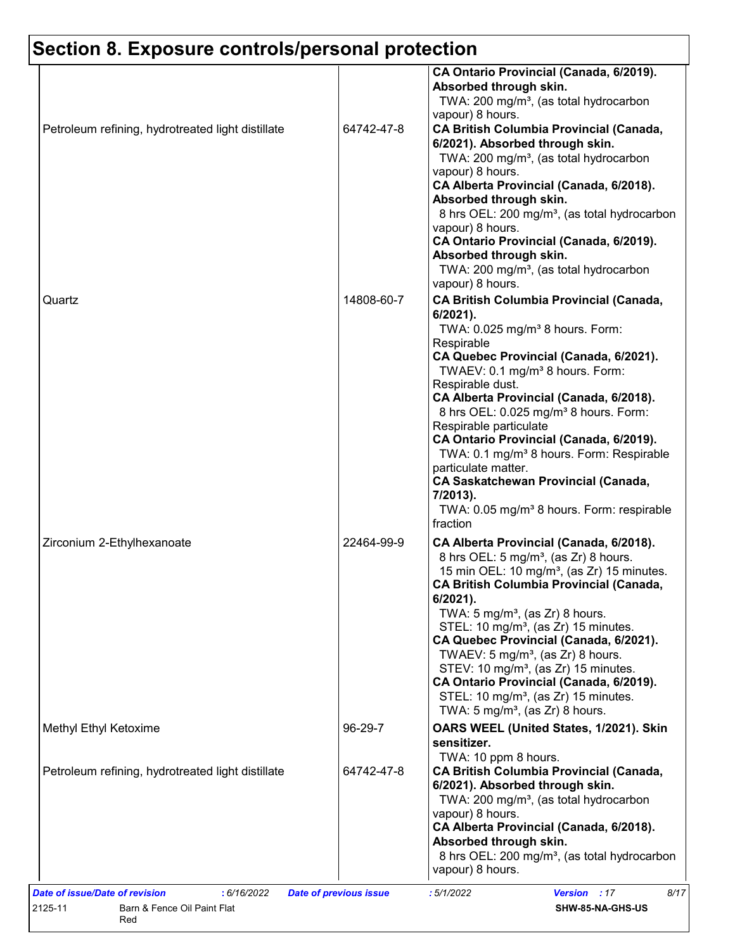| Petroleum refining, hydrotreated light distillate | 64742-47-8 | CA Ontario Provincial (Canada, 6/2019).<br>Absorbed through skin.<br>TWA: 200 mg/m <sup>3</sup> , (as total hydrocarbon<br>vapour) 8 hours.<br><b>CA British Columbia Provincial (Canada,</b><br>6/2021). Absorbed through skin.<br>TWA: 200 mg/m <sup>3</sup> , (as total hydrocarbon<br>vapour) 8 hours.<br>CA Alberta Provincial (Canada, 6/2018).                                                                                                                                                                                                                                                              |
|---------------------------------------------------|------------|--------------------------------------------------------------------------------------------------------------------------------------------------------------------------------------------------------------------------------------------------------------------------------------------------------------------------------------------------------------------------------------------------------------------------------------------------------------------------------------------------------------------------------------------------------------------------------------------------------------------|
| Quartz                                            | 14808-60-7 | Absorbed through skin.<br>8 hrs OEL: 200 mg/m <sup>3</sup> , (as total hydrocarbon<br>vapour) 8 hours.<br>CA Ontario Provincial (Canada, 6/2019).<br>Absorbed through skin.<br>TWA: 200 mg/m <sup>3</sup> , (as total hydrocarbon<br>vapour) 8 hours.<br><b>CA British Columbia Provincial (Canada,</b><br>$6/2021$ ).<br>TWA: 0.025 mg/m <sup>3</sup> 8 hours. Form:<br>Respirable<br>CA Quebec Provincial (Canada, 6/2021).                                                                                                                                                                                      |
|                                                   |            | TWAEV: 0.1 mg/m <sup>3</sup> 8 hours. Form:<br>Respirable dust.<br>CA Alberta Provincial (Canada, 6/2018).<br>8 hrs OEL: 0.025 mg/m <sup>3</sup> 8 hours. Form:<br>Respirable particulate<br>CA Ontario Provincial (Canada, 6/2019).<br>TWA: 0.1 mg/m <sup>3</sup> 8 hours. Form: Respirable<br>particulate matter.<br><b>CA Saskatchewan Provincial (Canada,</b><br>7/2013).<br>TWA: 0.05 mg/m <sup>3</sup> 8 hours. Form: respirable<br>fraction                                                                                                                                                                 |
| Zirconium 2-Ethylhexanoate                        | 22464-99-9 | CA Alberta Provincial (Canada, 6/2018).<br>8 hrs OEL: 5 mg/m <sup>3</sup> , (as Zr) 8 hours.<br>15 min OEL: 10 mg/m <sup>3</sup> , (as Zr) 15 minutes.<br><b>CA British Columbia Provincial (Canada,</b><br>6/2021).<br>TWA: $5 \text{ mg/m}^3$ , (as Zr) 8 hours.<br>STEL: 10 mg/m <sup>3</sup> , (as Zr) 15 minutes.<br>CA Quebec Provincial (Canada, 6/2021).<br>TWAEV: 5 mg/m <sup>3</sup> , (as Zr) 8 hours.<br>STEV: 10 mg/m <sup>3</sup> , (as Zr) 15 minutes.<br>CA Ontario Provincial (Canada, 6/2019).<br>STEL: 10 mg/m <sup>3</sup> , (as Zr) 15 minutes.<br>TWA: $5 \text{ mg/m}^3$ , (as Zr) 8 hours. |
| Methyl Ethyl Ketoxime                             | 96-29-7    | OARS WEEL (United States, 1/2021). Skin<br>sensitizer.<br>TWA: 10 ppm 8 hours.                                                                                                                                                                                                                                                                                                                                                                                                                                                                                                                                     |
| Petroleum refining, hydrotreated light distillate | 64742-47-8 | <b>CA British Columbia Provincial (Canada,</b><br>6/2021). Absorbed through skin.<br>TWA: 200 mg/m <sup>3</sup> , (as total hydrocarbon<br>vapour) 8 hours.<br>CA Alberta Provincial (Canada, 6/2018).<br>Absorbed through skin.<br>8 hrs OEL: 200 mg/m <sup>3</sup> , (as total hydrocarbon<br>vapour) 8 hours.                                                                                                                                                                                                                                                                                                   |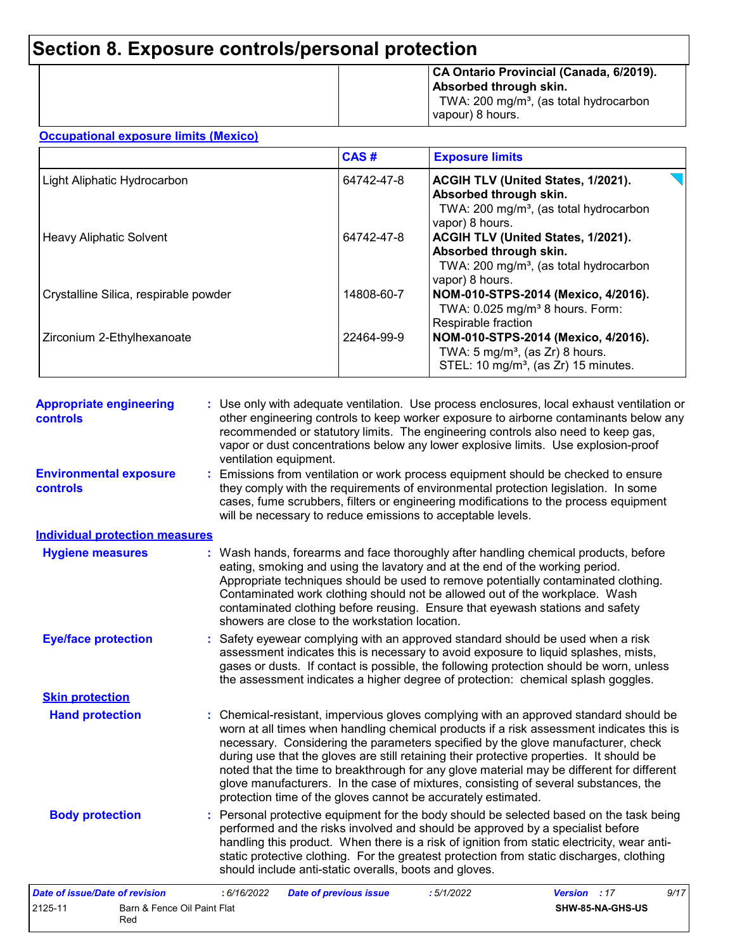|  | CA Ontario Provincial (Canada, 6/2019).<br>Absorbed through skin.<br>TWA: 200 mg/m <sup>3</sup> , (as total hydrocarbon<br>vapour) 8 hours. |
|--|---------------------------------------------------------------------------------------------------------------------------------------------|
|--|---------------------------------------------------------------------------------------------------------------------------------------------|

#### **Occupational exposure limits (Mexico)**

2125-11 Barn & Fence Oil Paint Flat Red

|                                       | CAS#       | <b>Exposure limits</b>                                                                                                                |
|---------------------------------------|------------|---------------------------------------------------------------------------------------------------------------------------------------|
| Light Aliphatic Hydrocarbon           | 64742-47-8 | ACGIH TLV (United States, 1/2021).<br>Absorbed through skin.<br>TWA: 200 mg/m <sup>3</sup> , (as total hydrocarbon<br>vapor) 8 hours. |
| <b>Heavy Aliphatic Solvent</b>        | 64742-47-8 | ACGIH TLV (United States, 1/2021).<br>Absorbed through skin.<br>TWA: 200 mg/m <sup>3</sup> , (as total hydrocarbon<br>vapor) 8 hours. |
| Crystalline Silica, respirable powder | 14808-60-7 | NOM-010-STPS-2014 (Mexico, 4/2016).<br>TWA: 0.025 mg/m <sup>3</sup> 8 hours. Form:<br>Respirable fraction                             |
| Zirconium 2-Ethylhexanoate            | 22464-99-9 | NOM-010-STPS-2014 (Mexico, 4/2016).<br>TWA: $5 \text{ mg/m}^3$ , (as Zr) 8 hours.<br>STEL: 10 mg/m <sup>3</sup> , (as Zr) 15 minutes. |

| <b>Appropriate engineering</b><br>controls | : Use only with adequate ventilation. Use process enclosures, local exhaust ventilation or<br>other engineering controls to keep worker exposure to airborne contaminants below any<br>recommended or statutory limits. The engineering controls also need to keep gas,<br>vapor or dust concentrations below any lower explosive limits. Use explosion-proof<br>ventilation equipment.                                                                                                                                                                                                                                |
|--------------------------------------------|------------------------------------------------------------------------------------------------------------------------------------------------------------------------------------------------------------------------------------------------------------------------------------------------------------------------------------------------------------------------------------------------------------------------------------------------------------------------------------------------------------------------------------------------------------------------------------------------------------------------|
| <b>Environmental exposure</b><br>controls  | : Emissions from ventilation or work process equipment should be checked to ensure<br>they comply with the requirements of environmental protection legislation. In some<br>cases, fume scrubbers, filters or engineering modifications to the process equipment<br>will be necessary to reduce emissions to acceptable levels.                                                                                                                                                                                                                                                                                        |
| <b>Individual protection measures</b>      |                                                                                                                                                                                                                                                                                                                                                                                                                                                                                                                                                                                                                        |
| <b>Hygiene measures</b>                    | : Wash hands, forearms and face thoroughly after handling chemical products, before<br>eating, smoking and using the lavatory and at the end of the working period.<br>Appropriate techniques should be used to remove potentially contaminated clothing.<br>Contaminated work clothing should not be allowed out of the workplace. Wash<br>contaminated clothing before reusing. Ensure that eyewash stations and safety<br>showers are close to the workstation location.                                                                                                                                            |
| <b>Eye/face protection</b>                 | : Safety eyewear complying with an approved standard should be used when a risk<br>assessment indicates this is necessary to avoid exposure to liquid splashes, mists,<br>gases or dusts. If contact is possible, the following protection should be worn, unless<br>the assessment indicates a higher degree of protection: chemical splash goggles.                                                                                                                                                                                                                                                                  |
| <b>Skin protection</b>                     |                                                                                                                                                                                                                                                                                                                                                                                                                                                                                                                                                                                                                        |
| <b>Hand protection</b>                     | : Chemical-resistant, impervious gloves complying with an approved standard should be<br>worn at all times when handling chemical products if a risk assessment indicates this is<br>necessary. Considering the parameters specified by the glove manufacturer, check<br>during use that the gloves are still retaining their protective properties. It should be<br>noted that the time to breakthrough for any glove material may be different for different<br>glove manufacturers. In the case of mixtures, consisting of several substances, the<br>protection time of the gloves cannot be accurately estimated. |
| <b>Body protection</b>                     | : Personal protective equipment for the body should be selected based on the task being<br>performed and the risks involved and should be approved by a specialist before<br>handling this product. When there is a risk of ignition from static electricity, wear anti-<br>static protective clothing. For the greatest protection from static discharges, clothing<br>should include anti-static overalls, boots and gloves.                                                                                                                                                                                         |
| Date of issue/Date of revision             | : 6/16/2022<br><b>Version</b><br>9/17<br><b>Date of previous issue</b><br>:5/1/2022<br>:17                                                                                                                                                                                                                                                                                                                                                                                                                                                                                                                             |

**SHW-85-NA-GHS-US**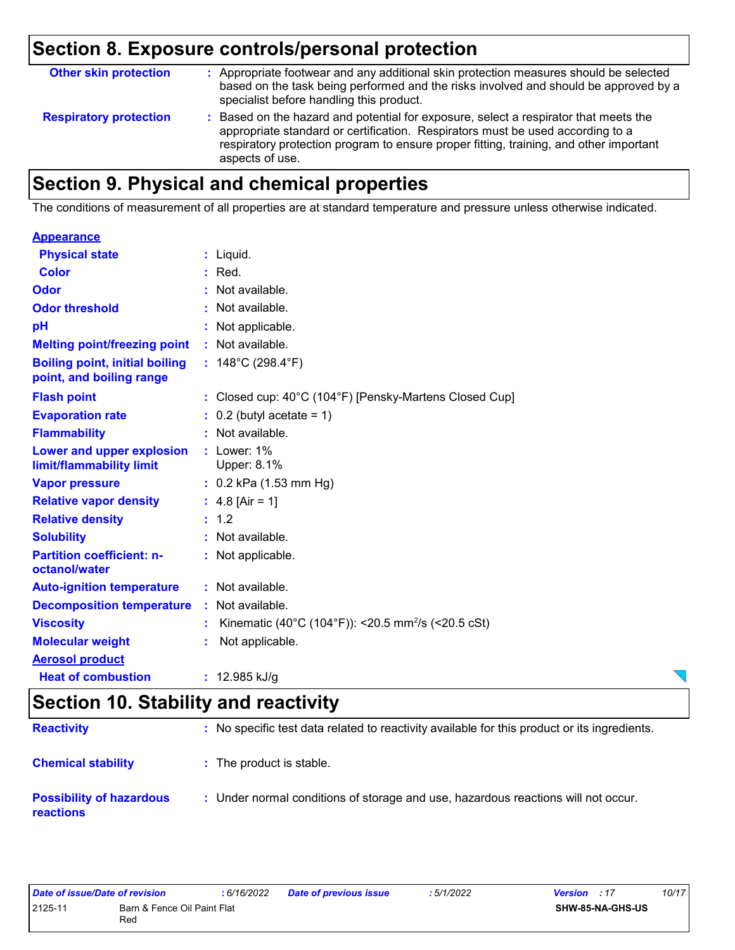| <b>Other skin protection</b>  | : Appropriate footwear and any additional skin protection measures should be selected<br>based on the task being performed and the risks involved and should be approved by a<br>specialist before handling this product.                                                           |
|-------------------------------|-------------------------------------------------------------------------------------------------------------------------------------------------------------------------------------------------------------------------------------------------------------------------------------|
| <b>Respiratory protection</b> | : Based on the hazard and potential for exposure, select a respirator that meets the<br>appropriate standard or certification. Respirators must be used according to a<br>respiratory protection program to ensure proper fitting, training, and other important<br>aspects of use. |

# **Section 9. Physical and chemical properties**

The conditions of measurement of all properties are at standard temperature and pressure unless otherwise indicated.

#### **Appearance**

| <b>Physical state</b>                                             | $:$ Liquid.                                                    |
|-------------------------------------------------------------------|----------------------------------------------------------------|
| Color                                                             | Red.                                                           |
| Odor                                                              | Not available.                                                 |
| <b>Odor threshold</b>                                             | $\cdot$ Not available.                                         |
| pH                                                                | : Not applicable.                                              |
| <b>Melting point/freezing point</b>                               | : Not available.                                               |
| <b>Boiling point, initial boiling</b><br>point, and boiling range | : $148^{\circ}$ C (298.4 $^{\circ}$ F)                         |
| <b>Flash point</b>                                                | : Closed cup: 40°C (104°F) [Pensky-Martens Closed Cup]         |
| <b>Evaporation rate</b>                                           | $\therefore$ 0.2 (butyl acetate = 1)                           |
| <b>Flammability</b>                                               | : Not available.                                               |
| Lower and upper explosion<br>limit/flammability limit             | $:$ Lower: $1\%$<br>Upper: 8.1%                                |
| <b>Vapor pressure</b>                                             | $: 0.2$ kPa (1.53 mm Hg)                                       |
| <b>Relative vapor density</b>                                     | : $4.8$ [Air = 1]                                              |
| <b>Relative density</b>                                           | : 1.2                                                          |
| <b>Solubility</b>                                                 | : Not available.                                               |
| <b>Partition coefficient: n-</b><br>octanol/water                 | : Not applicable.                                              |
| <b>Auto-ignition temperature</b>                                  | : Not available.                                               |
| <b>Decomposition temperature</b>                                  | : Not available.                                               |
| <b>Viscosity</b>                                                  | Kinematic (40°C (104°F)): <20.5 mm <sup>2</sup> /s (<20.5 cSt) |
| <b>Molecular weight</b>                                           | Not applicable.                                                |
| <b>Aerosol product</b>                                            |                                                                |
| <b>Heat of combustion</b>                                         | : $12.985$ kJ/g                                                |

### **Section 10. Stability and reactivity**

| <b>Reactivity</b>                                   | : No specific test data related to reactivity available for this product or its ingredients. |
|-----------------------------------------------------|----------------------------------------------------------------------------------------------|
| <b>Chemical stability</b>                           | : The product is stable.                                                                     |
| <b>Possibility of hazardous</b><br><b>reactions</b> | : Under normal conditions of storage and use, hazardous reactions will not occur.            |

| Date of issue/Date of revision |                                    | 6/16/2022 | <b>Date of previous issue</b> | 5/1/2022 | <b>Version</b> : 17 |                  | 10/17 |
|--------------------------------|------------------------------------|-----------|-------------------------------|----------|---------------------|------------------|-------|
| 2125-11                        | Barn & Fence Oil Paint Flat<br>Rec |           |                               |          |                     | SHW-85-NA-GHS-US |       |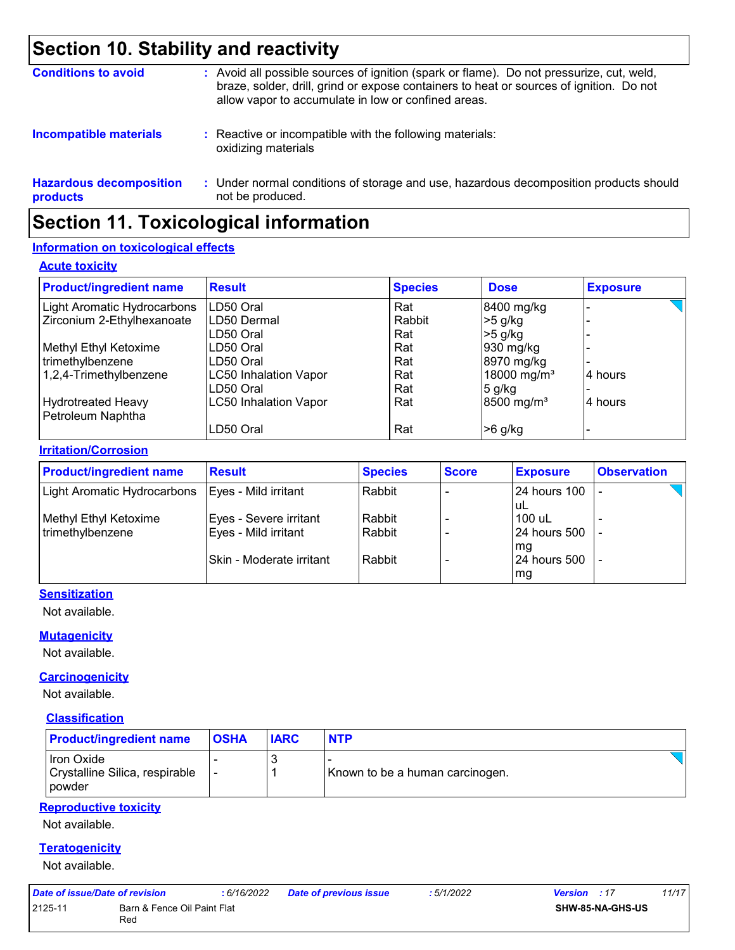### **Section 10. Stability and reactivity**

| <b>Conditions to avoid</b>                 | : Avoid all possible sources of ignition (spark or flame). Do not pressurize, cut, weld,<br>braze, solder, drill, grind or expose containers to heat or sources of ignition. Do not<br>allow vapor to accumulate in low or confined areas. |
|--------------------------------------------|--------------------------------------------------------------------------------------------------------------------------------------------------------------------------------------------------------------------------------------------|
| <b>Incompatible materials</b>              | : Reactive or incompatible with the following materials:<br>oxidizing materials                                                                                                                                                            |
| <b>Hazardous decomposition</b><br>products | : Under normal conditions of storage and use, hazardous decomposition products should<br>not be produced.                                                                                                                                  |

## **Section 11. Toxicological information**

#### **Information on toxicological effects**

#### **Acute toxicity**

| <b>Product/ingredient name</b> | <b>Result</b>                | <b>Species</b> | <b>Dose</b>             | <b>Exposure</b> |
|--------------------------------|------------------------------|----------------|-------------------------|-----------------|
| Light Aromatic Hydrocarbons    | LD50 Oral                    | Rat            | 8400 mg/kg              |                 |
| Zirconium 2-Ethylhexanoate     | LD50 Dermal                  | Rabbit         | $>5$ g/kg               |                 |
|                                | LD50 Oral                    | Rat            | $>5$ g/kg               |                 |
| Methyl Ethyl Ketoxime          | LD50 Oral                    | Rat            | 930 mg/kg               |                 |
| trimethylbenzene               | LD50 Oral                    | Rat            | 8970 mg/kg              |                 |
| 1,2,4-Trimethylbenzene         | <b>LC50 Inhalation Vapor</b> | Rat            | 18000 mg/m <sup>3</sup> | 4 hours         |
|                                | LD50 Oral                    | Rat            | $5$ g/kg                |                 |
| Hydrotreated Heavy             | <b>LC50 Inhalation Vapor</b> | Rat            | 8500 mg/m <sup>3</sup>  | 4 hours         |
| Petroleum Naphtha              |                              |                |                         |                 |
|                                | LD50 Oral                    | Rat            | $>6$ g/kg               |                 |

#### **Irritation/Corrosion**

| <b>Product/ingredient name</b> | <b>Result</b>            | <b>Species</b> | <b>Score</b> | <b>Exposure</b>     | <b>Observation</b> |
|--------------------------------|--------------------------|----------------|--------------|---------------------|--------------------|
| Light Aromatic Hydrocarbons    | Eyes - Mild irritant     | Rabbit         |              | <b>24 hours 100</b> |                    |
|                                |                          |                |              | uL                  |                    |
| Methyl Ethyl Ketoxime          | Eyes - Severe irritant   | Rabbit         |              | 100 uL              |                    |
| trimethylbenzene               | Eyes - Mild irritant     | Rabbit         |              | 24 hours 500        |                    |
|                                |                          |                |              | mg                  |                    |
|                                | Skin - Moderate irritant | Rabbit         |              | 24 hours 500        |                    |
|                                |                          |                |              | mg                  |                    |

#### **Sensitization**

Not available.

#### **Mutagenicity**

Not available.

#### **Carcinogenicity**

Not available.

#### **Classification**

| <b>Product/ingredient name</b>                                | <b>OSHA</b> | <b>IARC</b> | <b>NTP</b>                      |
|---------------------------------------------------------------|-------------|-------------|---------------------------------|
| Iron Oxide<br>Crystalline Silica, respirable<br><b>powder</b> |             |             | Known to be a human carcinogen. |

#### **Reproductive toxicity**

Not available.

#### **Teratogenicity**

Not available.

| Date of issue/Date of revision |                                    | : 6/16/2022 | <b>Date of previous issue</b> | : 5/1/2022 | <b>Version</b> : 17     | 11/17 |
|--------------------------------|------------------------------------|-------------|-------------------------------|------------|-------------------------|-------|
| 2125-11                        | Barn & Fence Oil Paint Flat<br>Red |             |                               |            | <b>SHW-85-NA-GHS-US</b> |       |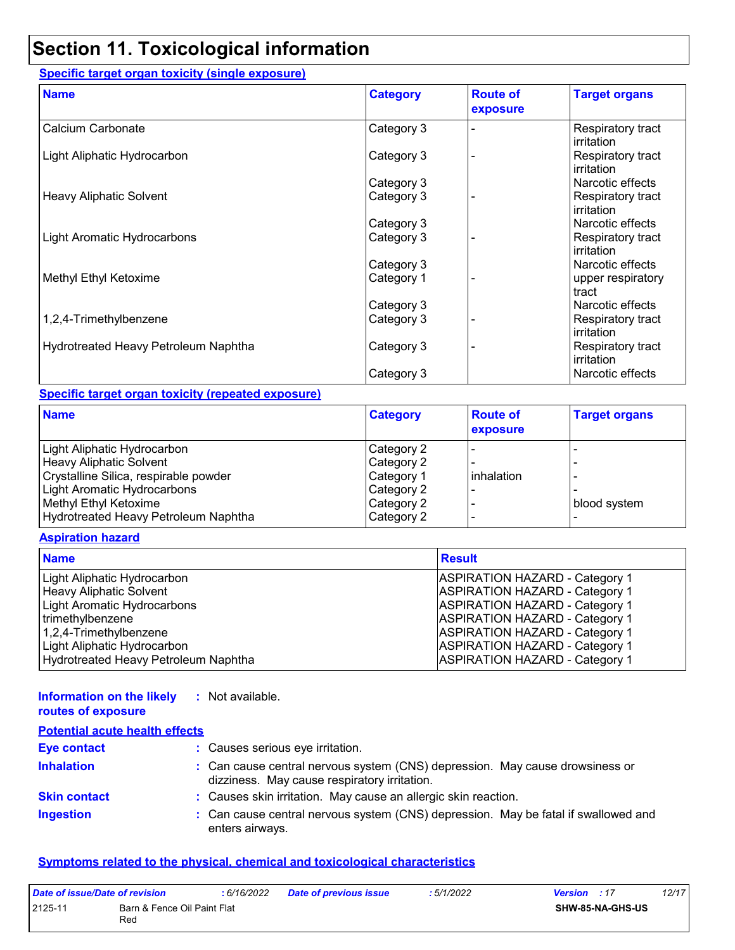### **Section 11. Toxicological information**

#### **Specific target organ toxicity (single exposure)**

| <b>Name</b>                          | <b>Category</b> | <b>Route of</b><br>exposure | <b>Target organs</b>            |
|--------------------------------------|-----------------|-----------------------------|---------------------------------|
| Calcium Carbonate                    | Category 3      |                             | Respiratory tract<br>irritation |
| Light Aliphatic Hydrocarbon          | Category 3      |                             | Respiratory tract<br>irritation |
|                                      | Category 3      |                             | Narcotic effects                |
| Heavy Aliphatic Solvent              | Category 3      |                             | Respiratory tract<br>irritation |
|                                      | Category 3      |                             | Narcotic effects                |
| Light Aromatic Hydrocarbons          | Category 3      |                             | Respiratory tract<br>irritation |
|                                      | Category 3      |                             | Narcotic effects                |
| Methyl Ethyl Ketoxime                | Category 1      |                             | upper respiratory<br>tract      |
|                                      | Category 3      |                             | Narcotic effects                |
| 1,2,4-Trimethylbenzene               | Category 3      |                             | Respiratory tract<br>irritation |
| Hydrotreated Heavy Petroleum Naphtha | Category 3      |                             | Respiratory tract<br>irritation |
|                                      | Category 3      |                             | Narcotic effects                |

#### **Specific target organ toxicity (repeated exposure)**

| <b>Name</b>                           | <b>Category</b> | <b>Route of</b><br>exposure | <b>Target organs</b> |
|---------------------------------------|-----------------|-----------------------------|----------------------|
| Light Aliphatic Hydrocarbon           | Category 2      |                             |                      |
| <b>Heavy Aliphatic Solvent</b>        | Category 2      |                             |                      |
| Crystalline Silica, respirable powder | Category 1      | <b>l</b> inhalation         |                      |
| Light Aromatic Hydrocarbons           | Category 2      |                             |                      |
| Methyl Ethyl Ketoxime                 | Category 2      |                             | blood system         |
| Hydrotreated Heavy Petroleum Naphtha  | Category 2      |                             |                      |

#### **Aspiration hazard**

| <b>Name</b>                          | <b>Result</b>                         |
|--------------------------------------|---------------------------------------|
| Light Aliphatic Hydrocarbon          | <b>ASPIRATION HAZARD - Category 1</b> |
| <b>Heavy Aliphatic Solvent</b>       | <b>ASPIRATION HAZARD - Category 1</b> |
| <b>Light Aromatic Hydrocarbons</b>   | <b>ASPIRATION HAZARD - Category 1</b> |
| trimethylbenzene                     | <b>ASPIRATION HAZARD - Category 1</b> |
| 1,2,4-Trimethylbenzene               | <b>ASPIRATION HAZARD - Category 1</b> |
| Light Aliphatic Hydrocarbon          | <b>ASPIRATION HAZARD - Category 1</b> |
| Hydrotreated Heavy Petroleum Naphtha | <b>ASPIRATION HAZARD - Category 1</b> |

#### **Information on the likely :** Not available.

|  | routes of exposure |  |
|--|--------------------|--|
|  |                    |  |

**Inhalation :** Can cause central nervous system (CNS) depression. May cause drowsiness or dizziness. May cause respiratory irritation. Can cause central nervous system (CNS) depression. May be fatal if swallowed and enters airways. **Ingestion : Skin contact :** Causes skin irritation. May cause an allergic skin reaction. **Eye contact :** Causes serious eye irritation. **Potential acute health effects**

#### **Symptoms related to the physical, chemical and toxicological characteristics**

| Date of issue/Date of revision |                                    | : 6/16/2022 | <b>Date of previous issue</b> | : 5/1/2022 | 12/17<br><b>Version</b> : 17 |
|--------------------------------|------------------------------------|-------------|-------------------------------|------------|------------------------------|
| 2125-11                        | Barn & Fence Oil Paint Flat<br>Red |             |                               |            | <b>SHW-85-NA-GHS-US</b>      |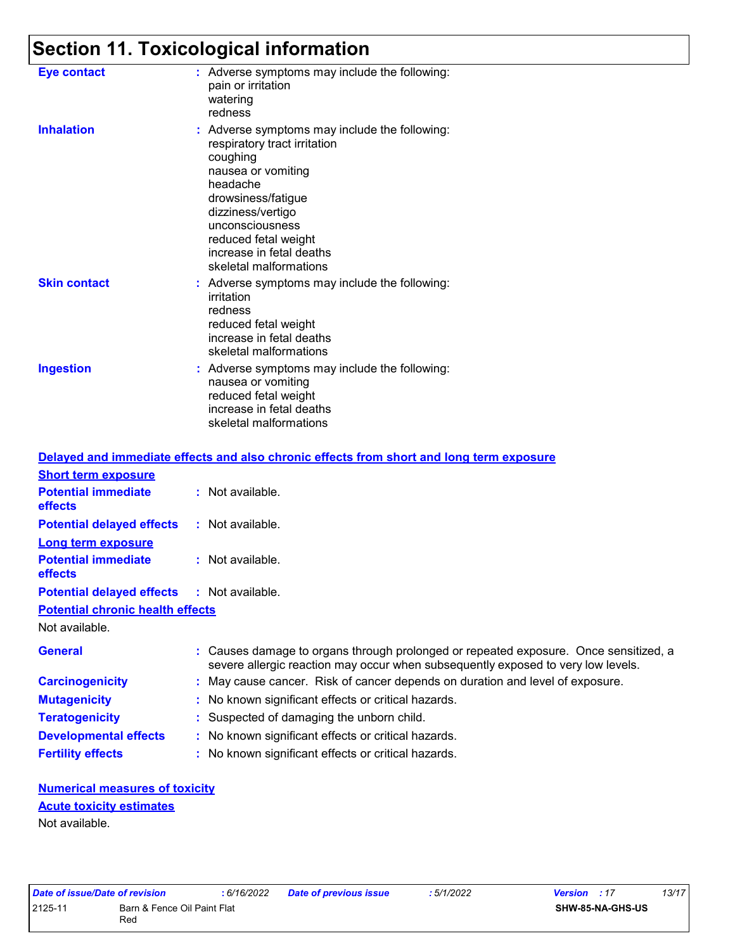# **Section 11. Toxicological information**

| <b>Eye contact</b>  | : Adverse symptoms may include the following:<br>pain or irritation<br>watering<br>redness                                                                                                                                                                              |
|---------------------|-------------------------------------------------------------------------------------------------------------------------------------------------------------------------------------------------------------------------------------------------------------------------|
| <b>Inhalation</b>   | : Adverse symptoms may include the following:<br>respiratory tract irritation<br>coughing<br>nausea or vomiting<br>headache<br>drowsiness/fatigue<br>dizziness/vertigo<br>unconsciousness<br>reduced fetal weight<br>increase in fetal deaths<br>skeletal malformations |
| <b>Skin contact</b> | : Adverse symptoms may include the following:<br>irritation<br>redness<br>reduced fetal weight<br>increase in fetal deaths<br>skeletal malformations                                                                                                                    |
| <b>Ingestion</b>    | : Adverse symptoms may include the following:<br>nausea or vomiting<br>reduced fetal weight<br>increase in fetal deaths<br>skeletal malformations                                                                                                                       |

|                                                   | Delayed and immediate effects and also chronic effects from short and long term exposure                                                                                 |
|---------------------------------------------------|--------------------------------------------------------------------------------------------------------------------------------------------------------------------------|
| <b>Short term exposure</b>                        |                                                                                                                                                                          |
| <b>Potential immediate</b><br>effects             | $:$ Not available.                                                                                                                                                       |
| <b>Potential delayed effects</b>                  | : Not available.                                                                                                                                                         |
| <b>Long term exposure</b>                         |                                                                                                                                                                          |
| <b>Potential immediate</b><br>effects             | $:$ Not available.                                                                                                                                                       |
| <b>Potential delayed effects : Not available.</b> |                                                                                                                                                                          |
| <b>Potential chronic health effects</b>           |                                                                                                                                                                          |
| Not available.                                    |                                                                                                                                                                          |
| <b>General</b>                                    | : Causes damage to organs through prolonged or repeated exposure. Once sensitized, a<br>severe allergic reaction may occur when subsequently exposed to very low levels. |
| <b>Carcinogenicity</b>                            | : May cause cancer. Risk of cancer depends on duration and level of exposure.                                                                                            |
| <b>Mutagenicity</b>                               | : No known significant effects or critical hazards.                                                                                                                      |
| <b>Teratogenicity</b>                             | : Suspected of damaging the unborn child.                                                                                                                                |
| <b>Developmental effects</b>                      | : No known significant effects or critical hazards.                                                                                                                      |
| <b>Fertility effects</b>                          | : No known significant effects or critical hazards.                                                                                                                      |

#### **Numerical measures of toxicity** Not available. **Acute toxicity estimates**

| Date of issue/Date of revision |                                    | : 6/16/2022 | <b>Date of previous issue</b> | : 5/1/2022 | <b>Version</b> : 17 | 13/17 |  |
|--------------------------------|------------------------------------|-------------|-------------------------------|------------|---------------------|-------|--|
| 2125-11                        | Barn & Fence Oil Paint Flat<br>Rec |             |                               |            | SHW-85-NA-GHS-US    |       |  |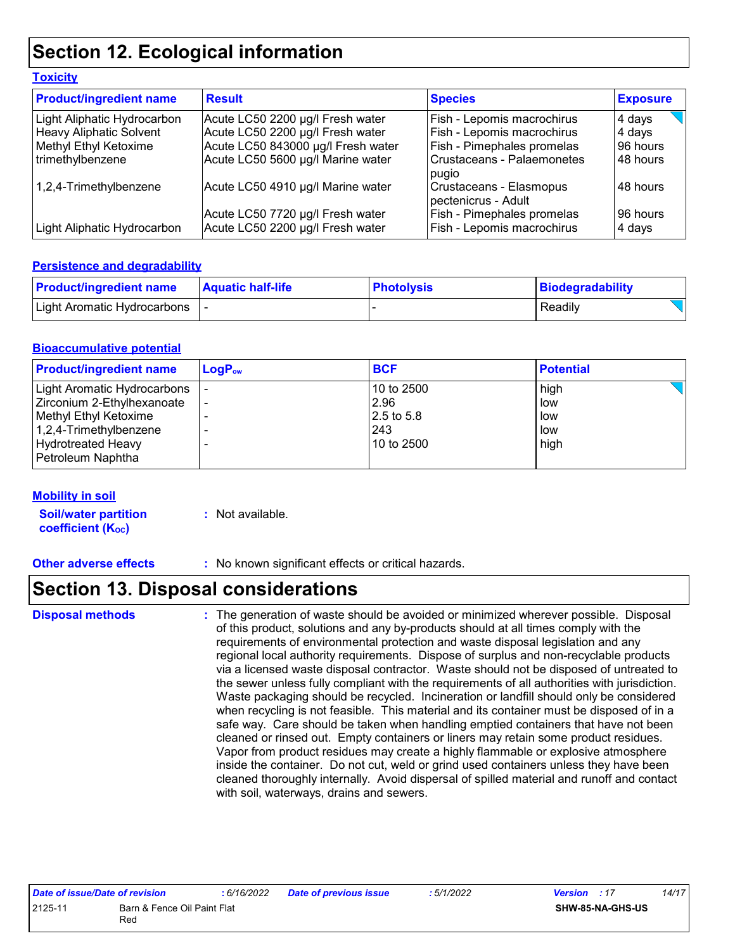### **Section 12. Ecological information**

| <b>Toxicity</b>                |                                    |                                                |                 |
|--------------------------------|------------------------------------|------------------------------------------------|-----------------|
| <b>Product/ingredient name</b> | <b>Result</b>                      | <b>Species</b>                                 | <b>Exposure</b> |
| Light Aliphatic Hydrocarbon    | Acute LC50 2200 µg/l Fresh water   | Fish - Lepomis macrochirus                     | 4 days          |
| <b>Heavy Aliphatic Solvent</b> | Acute LC50 2200 µg/l Fresh water   | Fish - Lepomis macrochirus                     | 4 days          |
| Methyl Ethyl Ketoxime          | Acute LC50 843000 µg/l Fresh water | <b>Fish - Pimephales promelas</b>              | 96 hours        |
| trimethylbenzene               | Acute LC50 5600 µg/l Marine water  | Crustaceans - Palaemonetes<br>pugio            | 48 hours        |
| 1,2,4-Trimethylbenzene         | Acute LC50 4910 µg/l Marine water  | Crustaceans - Elasmopus<br>pectenicrus - Adult | 48 hours        |
|                                | Acute LC50 7720 µg/l Fresh water   | Fish - Pimephales promelas                     | 96 hours        |
| Light Aliphatic Hydrocarbon    | Acute LC50 2200 µg/l Fresh water   | Fish - Lepomis macrochirus                     | 4 days          |

#### **Persistence and degradability**

| <b>Product/ingredient name</b> | <b>Aquatic half-life</b> | <b>Photolysis</b> | Biodegradability |
|--------------------------------|--------------------------|-------------------|------------------|
| Light Aromatic Hydrocarbons    |                          |                   | Readily          |

#### **Bioaccumulative potential**

| <b>Product/ingredient name</b> | $LogP_{ow}$ | <b>BCF</b> | <b>Potential</b> |
|--------------------------------|-------------|------------|------------------|
| Light Aromatic Hydrocarbons    |             | 10 to 2500 | high             |
| Zirconium 2-Ethylhexanoate     |             | 2.96       | low              |
| Methyl Ethyl Ketoxime          |             | 2.5 to 5.8 | low              |
| 1,2,4-Trimethylbenzene         |             | 243        | low              |
| <b>Hydrotreated Heavy</b>      |             | 10 to 2500 | high             |
| Petroleum Naphtha              |             |            |                  |

#### **Mobility in soil**

**Soil/water partition coefficient (K**<sub>oc</sub>)

**:** Not available.

**Other adverse effects :** No known significant effects or critical hazards.

## **Section 13. Disposal considerations**

**Disposal methods :**

The generation of waste should be avoided or minimized wherever possible. Disposal of this product, solutions and any by-products should at all times comply with the requirements of environmental protection and waste disposal legislation and any regional local authority requirements. Dispose of surplus and non-recyclable products via a licensed waste disposal contractor. Waste should not be disposed of untreated to the sewer unless fully compliant with the requirements of all authorities with jurisdiction. Waste packaging should be recycled. Incineration or landfill should only be considered when recycling is not feasible. This material and its container must be disposed of in a safe way. Care should be taken when handling emptied containers that have not been cleaned or rinsed out. Empty containers or liners may retain some product residues. Vapor from product residues may create a highly flammable or explosive atmosphere inside the container. Do not cut, weld or grind used containers unless they have been cleaned thoroughly internally. Avoid dispersal of spilled material and runoff and contact with soil, waterways, drains and sewers.

| Date of issue/Date of revision |                             | : 6/16/2022 | Date of previous issue | : 5/1/2022 | <b>Version</b> : 17 |                         | 14/17 |
|--------------------------------|-----------------------------|-------------|------------------------|------------|---------------------|-------------------------|-------|
| 2125-11                        | Barn & Fence Oil Paint Flat |             |                        |            |                     | <b>SHW-85-NA-GHS-US</b> |       |
|                                | Red                         |             |                        |            |                     |                         |       |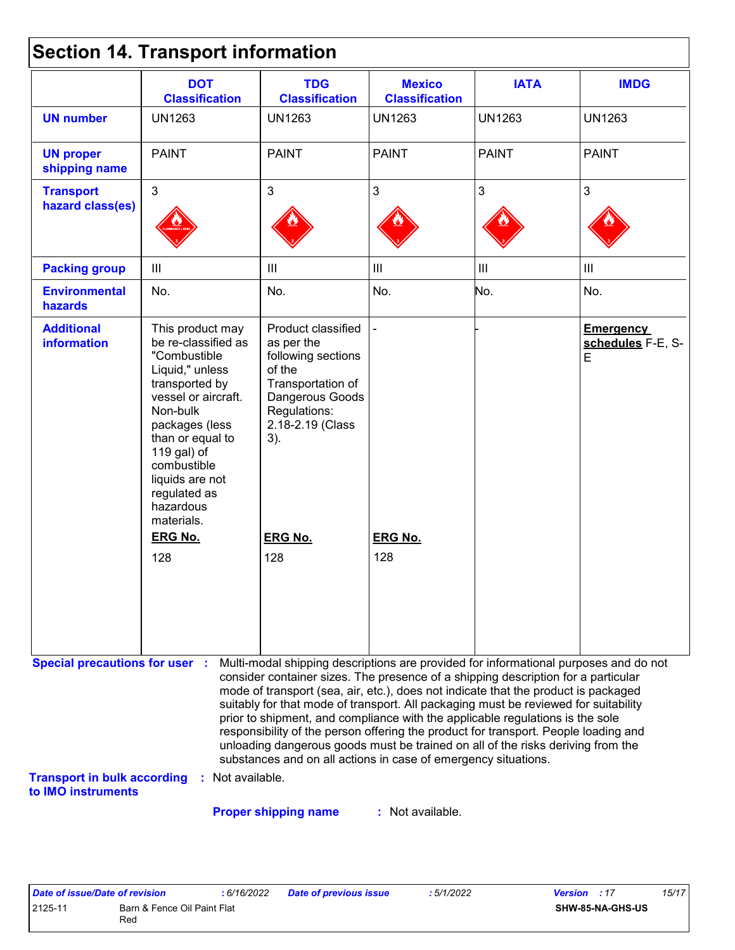|  |  | <b>Section 14. Transport information</b> |  |
|--|--|------------------------------------------|--|
|--|--|------------------------------------------|--|

|                                         | <b>DOT</b><br><b>Classification</b>                                                                                                                                                                                                                               | <b>TDG</b><br><b>Classification</b>                                                                                                                                                                                                                                                                                                                                                                                                                                                                                                                                                                                                                                                 | <b>Mexico</b><br><b>Classification</b> | <b>IATA</b>       | <b>IMDG</b>                                |
|-----------------------------------------|-------------------------------------------------------------------------------------------------------------------------------------------------------------------------------------------------------------------------------------------------------------------|-------------------------------------------------------------------------------------------------------------------------------------------------------------------------------------------------------------------------------------------------------------------------------------------------------------------------------------------------------------------------------------------------------------------------------------------------------------------------------------------------------------------------------------------------------------------------------------------------------------------------------------------------------------------------------------|----------------------------------------|-------------------|--------------------------------------------|
| <b>UN number</b>                        | <b>UN1263</b>                                                                                                                                                                                                                                                     | <b>UN1263</b>                                                                                                                                                                                                                                                                                                                                                                                                                                                                                                                                                                                                                                                                       | <b>UN1263</b>                          | <b>UN1263</b>     | <b>UN1263</b>                              |
| <b>UN proper</b><br>shipping name       | <b>PAINT</b>                                                                                                                                                                                                                                                      | <b>PAINT</b>                                                                                                                                                                                                                                                                                                                                                                                                                                                                                                                                                                                                                                                                        | <b>PAINT</b>                           | <b>PAINT</b>      | <b>PAINT</b>                               |
| <b>Transport</b><br>hazard class(es)    | $\mathfrak{S}$                                                                                                                                                                                                                                                    | $\mathbf{3}$                                                                                                                                                                                                                                                                                                                                                                                                                                                                                                                                                                                                                                                                        | 3                                      | 3                 | $\mathfrak{S}$                             |
| <b>Packing group</b>                    | III                                                                                                                                                                                                                                                               | III                                                                                                                                                                                                                                                                                                                                                                                                                                                                                                                                                                                                                                                                                 | $\mathop{\rm III}$                     | $\vert\vert\vert$ | $\mathbf{III}$                             |
| <b>Environmental</b><br>hazards         | No.                                                                                                                                                                                                                                                               | No.                                                                                                                                                                                                                                                                                                                                                                                                                                                                                                                                                                                                                                                                                 | No.                                    | No.               | No.                                        |
| <b>Additional</b><br><b>information</b> | This product may<br>be re-classified as<br>"Combustible<br>Liquid," unless<br>transported by<br>vessel or aircraft.<br>Non-bulk<br>packages (less<br>than or equal to<br>119 gal) of<br>combustible<br>liquids are not<br>regulated as<br>hazardous<br>materials. | Product classified<br>as per the<br>following sections<br>of the<br>Transportation of<br>Dangerous Goods<br>Regulations:<br>2.18-2.19 (Class<br>3).                                                                                                                                                                                                                                                                                                                                                                                                                                                                                                                                 |                                        |                   | <b>Emergency</b><br>schedules F-E, S-<br>E |
|                                         | <b>ERG No.</b>                                                                                                                                                                                                                                                    | <b>ERG No.</b>                                                                                                                                                                                                                                                                                                                                                                                                                                                                                                                                                                                                                                                                      | <b>ERG No.</b>                         |                   |                                            |
|                                         | 128                                                                                                                                                                                                                                                               | 128                                                                                                                                                                                                                                                                                                                                                                                                                                                                                                                                                                                                                                                                                 | 128                                    |                   |                                            |
| <b>Special precautions for user :</b>   |                                                                                                                                                                                                                                                                   | Multi-modal shipping descriptions are provided for informational purposes and do not<br>consider container sizes. The presence of a shipping description for a particular<br>mode of transport (sea, air, etc.), does not indicate that the product is packaged<br>suitably for that mode of transport. All packaging must be reviewed for suitability<br>prior to shipment, and compliance with the applicable regulations is the sole<br>responsibility of the person offering the product for transport. People loading and<br>unloading dangerous goods must be trained on all of the risks deriving from the<br>substances and on all actions in case of emergency situations. |                                        |                   |                                            |

**Proper shipping name :**

: Not available.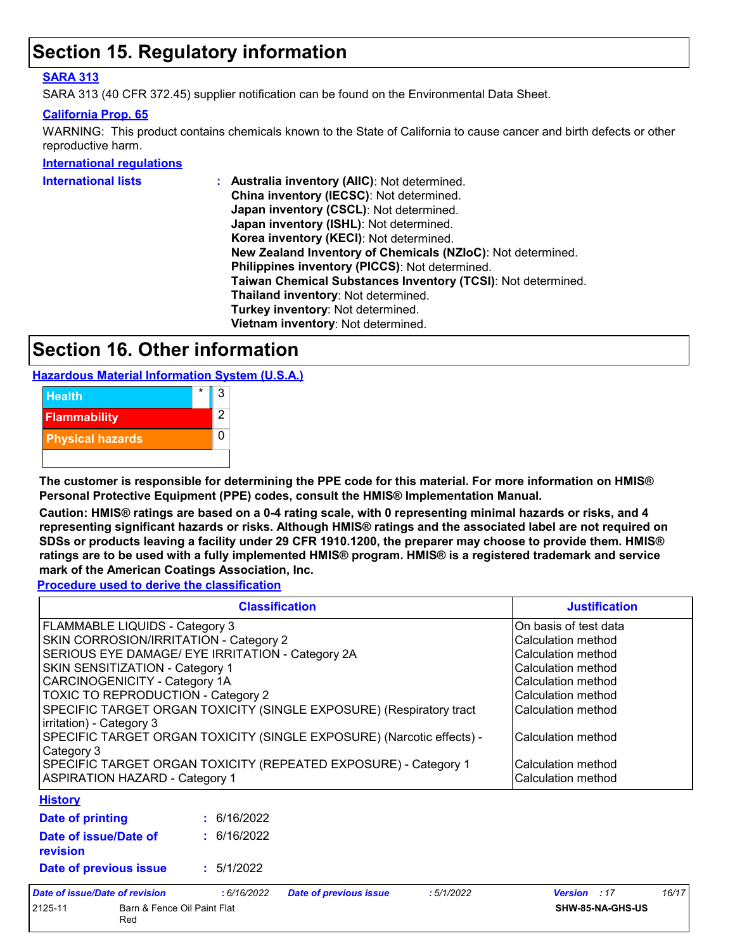### **Section 15. Regulatory information**

#### **SARA 313**

SARA 313 (40 CFR 372.45) supplier notification can be found on the Environmental Data Sheet.

#### **California Prop. 65**

WARNING: This product contains chemicals known to the State of California to cause cancer and birth defects or other reproductive harm.

**International regulations**

| <b>International lists</b> | Australia inventory (AIIC): Not determined.                  |
|----------------------------|--------------------------------------------------------------|
|                            | China inventory (IECSC): Not determined.                     |
|                            | Japan inventory (CSCL): Not determined.                      |
|                            | Japan inventory (ISHL): Not determined.                      |
|                            | Korea inventory (KECI): Not determined.                      |
|                            | New Zealand Inventory of Chemicals (NZIoC): Not determined.  |
|                            | Philippines inventory (PICCS): Not determined.               |
|                            | Taiwan Chemical Substances Inventory (TCSI): Not determined. |
|                            | Thailand inventory: Not determined.                          |
|                            | Turkey inventory: Not determined.                            |
|                            | Vietnam inventory: Not determined.                           |
|                            |                                                              |

### **Section 16. Other information**

**Hazardous Material Information System (U.S.A.)**



**The customer is responsible for determining the PPE code for this material. For more information on HMIS® Personal Protective Equipment (PPE) codes, consult the HMIS® Implementation Manual.**

**Caution: HMIS® ratings are based on a 0-4 rating scale, with 0 representing minimal hazards or risks, and 4 representing significant hazards or risks. Although HMIS® ratings and the associated label are not required on SDSs or products leaving a facility under 29 CFR 1910.1200, the preparer may choose to provide them. HMIS® ratings are to be used with a fully implemented HMIS® program. HMIS® is a registered trademark and service mark of the American Coatings Association, Inc.**

**Procedure used to derive the classification**

|                                                                                                                                                                                                                                                                                                                                                                                                                                                                                                                   | <b>Justification</b> |                         |                    |                                                                                                                                                                                                       |       |
|-------------------------------------------------------------------------------------------------------------------------------------------------------------------------------------------------------------------------------------------------------------------------------------------------------------------------------------------------------------------------------------------------------------------------------------------------------------------------------------------------------------------|----------------------|-------------------------|--------------------|-------------------------------------------------------------------------------------------------------------------------------------------------------------------------------------------------------|-------|
| <b>FLAMMABLE LIQUIDS - Category 3</b><br>SKIN CORROSION/IRRITATION - Category 2<br>SERIOUS EYE DAMAGE/ EYE IRRITATION - Category 2A<br>SKIN SENSITIZATION - Category 1<br>CARCINOGENICITY - Category 1A<br><b>TOXIC TO REPRODUCTION - Category 2</b><br>SPECIFIC TARGET ORGAN TOXICITY (SINGLE EXPOSURE) (Respiratory tract<br>irritation) - Category 3<br>SPECIFIC TARGET ORGAN TOXICITY (SINGLE EXPOSURE) (Narcotic effects) -<br>Category 3<br>SPECIFIC TARGET ORGAN TOXICITY (REPEATED EXPOSURE) - Category 1 |                      |                         |                    | On basis of test data<br>Calculation method<br>Calculation method<br>Calculation method<br>Calculation method<br>Calculation method<br>Calculation method<br>Calculation method<br>Calculation method |       |
| <b>ASPIRATION HAZARD - Category 1</b>                                                                                                                                                                                                                                                                                                                                                                                                                                                                             |                      |                         | Calculation method |                                                                                                                                                                                                       |       |
| <b>History</b>                                                                                                                                                                                                                                                                                                                                                                                                                                                                                                    |                      |                         |                    |                                                                                                                                                                                                       |       |
| Date of printing                                                                                                                                                                                                                                                                                                                                                                                                                                                                                                  | : 6/16/2022          |                         |                    |                                                                                                                                                                                                       |       |
| Date of issue/Date of<br>revision                                                                                                                                                                                                                                                                                                                                                                                                                                                                                 | : 6/16/2022          |                         |                    |                                                                                                                                                                                                       |       |
| : 5/1/2022<br>Date of previous issue                                                                                                                                                                                                                                                                                                                                                                                                                                                                              |                      |                         |                    |                                                                                                                                                                                                       |       |
| ato of issue/Dato of revision                                                                                                                                                                                                                                                                                                                                                                                                                                                                                     | .6/16/2022           | Dato of province issue. | .5/1/2022          | $V$ arejon $.47$                                                                                                                                                                                      | 16/17 |